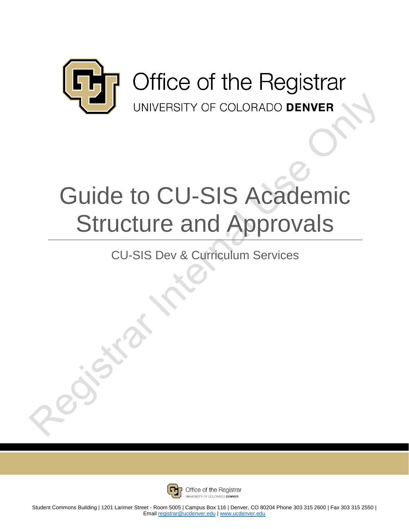

# Guide to CU-SIS Academic Structure and Approvals

# CU-SIS Dev & Curriculum Services



Office of the Registrar UNIVERSITY OF COLORADO DENVER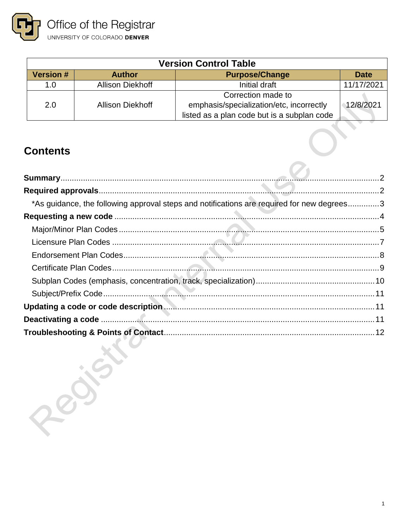

| <b>Version Control Table</b> |                         |                                                                |             |  |  |
|------------------------------|-------------------------|----------------------------------------------------------------|-------------|--|--|
| <b>Version #</b>             | <b>Author</b>           | <b>Purpose/Change</b>                                          | <b>Date</b> |  |  |
| 1.0                          | <b>Allison Diekhoff</b> | Initial draft                                                  | 11/17/2021  |  |  |
| 2.0                          | <b>Allison Diekhoff</b> | Correction made to<br>emphasis/specialization/etc, incorrectly | 12/8/2021   |  |  |
|                              |                         | listed as a plan code but is a subplan code                    |             |  |  |

## **Contents**

| *As guidance, the following approval steps and notifications are required for new degrees3 |  |
|--------------------------------------------------------------------------------------------|--|
|                                                                                            |  |
|                                                                                            |  |
|                                                                                            |  |
|                                                                                            |  |
|                                                                                            |  |
|                                                                                            |  |
|                                                                                            |  |
|                                                                                            |  |
|                                                                                            |  |
|                                                                                            |  |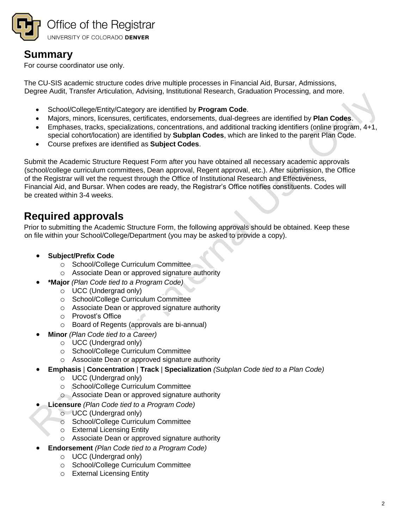

### <span id="page-2-0"></span>**Summary**

For course coordinator use only.

The CU-SIS academic structure codes drive multiple processes in Financial Aid, Bursar, Admissions, Degree Audit, Transfer Articulation, Advising, Institutional Research, Graduation Processing, and more.

- School/College/Entity/Category are identified by **Program Code**.
- Majors, minors, licensures, certificates, endorsements, dual-degrees are identified by **Plan Codes**.
- Emphases, tracks, specializations, concentrations, and additional tracking identifiers (online program, 4+1, special cohort/location) are identified by **Subplan Codes**, which are linked to the parent Plan Code.
- Course prefixes are identified as **Subject Codes**.

Submit the Academic Structure Request Form after you have obtained all necessary academic approvals (school/college curriculum committees, Dean approval, Regent approval, etc.). After submission, the Office of the Registrar will vet the request through the Office of Institutional Research and Effectiveness, Financial Aid, and Bursar. When codes are ready, the Registrar's Office notifies constituents. Codes will be created within 3-4 weeks.

### <span id="page-2-1"></span>**Required approvals**

Prior to submitting the Academic Structure Form, the following approvals should be obtained. Keep these on file within your School/College/Department (you may be asked to provide a copy).

- **Subject/Prefix Code** 
	- o School/College Curriculum Committee
	- o Associate Dean or approved signature authority
- **\*Major** *(Plan Code tied to a Program Code)*
	- o UCC (Undergrad only)
	- o School/College Curriculum Committee
	- o Associate Dean or approved signature authority
	- o Provost's Office
	- o Board of Regents (approvals are bi-annual)
- **Minor** *(Plan Code tied to a Career)*
	- o UCC (Undergrad only)
	- o School/College Curriculum Committee
	- o Associate Dean or approved signature authority
- **Emphasis** | **Concentration** | **Track** | **Specialization** *(Subplan Code tied to a Plan Code)*
	- o UCC (Undergrad only)
	- o School/College Curriculum Committee
	- o Associate Dean or approved signature authority
- **Licensure** *(Plan Code tied to a Program Code)*
	- o UCC (Undergrad only)
	- o School/College Curriculum Committee
	- o External Licensing Entity
	- o Associate Dean or approved signature authority
- **Endorsement** *(Plan Code tied to a Program Code)*
	- o UCC (Undergrad only)
	- o School/College Curriculum Committee
	- o External Licensing Entity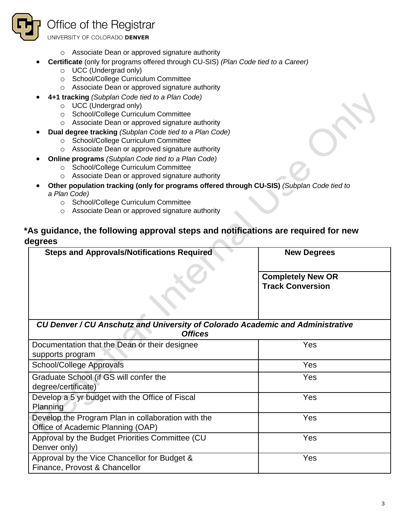

UNIVERSITY OF COLORADO DENVER

- o Associate Dean or approved signature authority
- **Certificate** (only for programs offered through CU-SIS) *(Plan Code tied to a Career)*
	- o UCC (Undergrad only)
	- o School/College Curriculum Committee
	- o Associate Dean or approved signature authority
- **4+1 tracking** *(Subplan Code tied to a Plan Code)*
	- o UCC (Undergrad only)
	- o School/College Curriculum Committee
	- o Associate Dean or approved signature authority
- **Dual degree tracking** *(Subplan Code tied to a Plan Code)*
	- o School/College Curriculum Committee
	- o Associate Dean or approved signature authority
- **Online programs** *(Subplan Code tied to a Plan Code)*
	- o School/College Curriculum Committee
	- o Associate Dean or approved signature authority
- **Other population tracking (only for programs offered through CU-SIS)** *(Subplan Code tied to a Plan Code)*
	- o School/College Curriculum Committee
	- o Associate Dean or approved signature authority

#### <span id="page-3-0"></span>**\*As guidance, the following approval steps and notifications are required for new degrees**

| <b>Steps and Approvals/Notifications Required</b>                                                | <b>New Degrees</b>       |  |  |  |
|--------------------------------------------------------------------------------------------------|--------------------------|--|--|--|
|                                                                                                  | <b>Completely New OR</b> |  |  |  |
|                                                                                                  | <b>Track Conversion</b>  |  |  |  |
| CU Denver / CU Anschutz and University of Colorado Academic and Administrative<br><b>Offices</b> |                          |  |  |  |
| Documentation that the Dean or their designee                                                    | Yes                      |  |  |  |
| supports program                                                                                 |                          |  |  |  |
| School/College Approvals                                                                         | Yes                      |  |  |  |
| Graduate School (if GS will confer the                                                           | Yes                      |  |  |  |
| degree/certificate)                                                                              |                          |  |  |  |
| Develop a 5 yr budget with the Office of Fiscal<br>Planning                                      | Yes                      |  |  |  |
| Develop the Program Plan in collaboration with the<br>Office of Academic Planning (OAP)          | Yes                      |  |  |  |
| Approval by the Budget Priorities Committee (CU<br>Denver only)                                  | Yes                      |  |  |  |
| Approval by the Vice Chancellor for Budget &<br>Finance, Provost & Chancellor                    | Yes                      |  |  |  |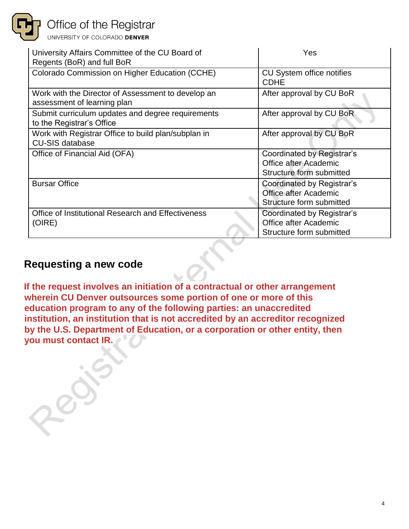| University Affairs Committee of the CU Board of<br>Regents (BoR) and full BoR     | Yes                                                                                    |
|-----------------------------------------------------------------------------------|----------------------------------------------------------------------------------------|
| Colorado Commission on Higher Education (CCHE)                                    | CU System office notifies<br><b>CDHE</b>                                               |
| Work with the Director of Assessment to develop an<br>assessment of learning plan | After approval by CU BoR                                                               |
| Submit curriculum updates and degree requirements<br>to the Registrar's Office    | After approval by CU BoR                                                               |
| Work with Registrar Office to build plan/subplan in<br><b>CU-SIS database</b>     | After approval by CU BoR                                                               |
| Office of Financial Aid (OFA)                                                     | <b>Coordinated by Registrar's</b><br>Office after Academic<br>Structure form submitted |
| <b>Bursar Office</b>                                                              | Coordinated by Registrar's<br>Office after Academic<br>Structure form submitted        |
| Office of Institutional Research and Effectiveness<br>(OIRE)                      | Coordinated by Registrar's<br>Office after Academic<br>Structure form submitted        |

### <span id="page-4-0"></span>**Requesting a new code**

**If the request involves an initiation of a contractual or other arrangement wherein CU Denver outsources some portion of one or more of this education program to any of the following parties: an unaccredited institution, an institution that is not accredited by an accreditor recognized by the U.S. Department of Education, or a corporation or other entity, then you must contact IR.**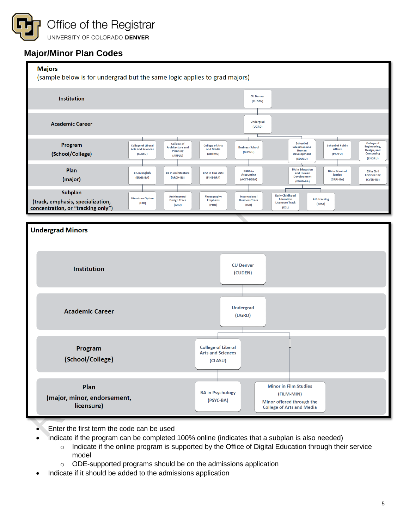Office of the Registrar UNIVERSITY OF COLORADO DENVER

### <span id="page-5-0"></span>**Major/Minor Plan Codes**



- Enter the first term the code can be used
	- Indicate if the program can be completed 100% online (indicates that a subplan is also needed)
		- $\circ$  Indicate if the online program is supported by the Office of Digital Education through their service model
		- o ODE-supported programs should be on the admissions application
- Indicate if it should be added to the admissions application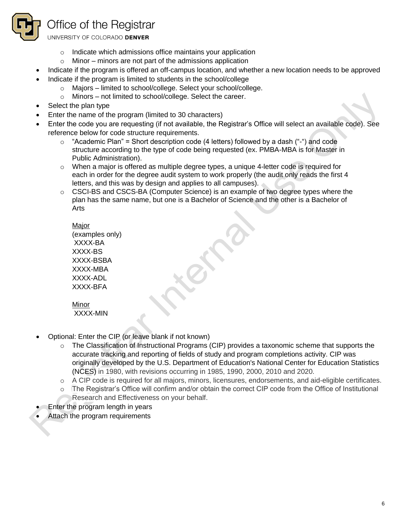

UNIVERSITY OF COLORADO DENVER

- o Indicate which admissions office maintains your application
- $\circ$  Minor minors are not part of the admissions application
- Indicate if the program is offered an off-campus location, and whether a new location needs to be approved
- Indicate if the program is limited to students in the school/college
	- o Majors limited to school/college. Select your school/college.
	- o Minors not limited to school/college. Select the career.
- Select the plan type
- Enter the name of the program (limited to 30 characters)
- Enter the code you are requesting (if not available, the Registrar's Office will select an available code). See reference below for code structure requirements.
	- $\circ$  "Academic Plan" = Short description code (4 letters) followed by a dash ("-") and code structure according to the type of code being requested (ex. PMBA-MBA is for Master in Public Administration).
	- $\circ$  When a major is offered as multiple degree types, a unique 4-letter code is required for each in order for the degree audit system to work properly (the audit only reads the first 4 letters, and this was by design and applies to all campuses).
	- $\circ$  CSCI-BS and CSCS-BA (Computer Science) is an example of two degree types where the plan has the same name, but one is a Bachelor of Science and the other is a Bachelor of Arts

Major (examples only) XXXX-BA XXXX-BS XXXX-BSBA XXXX-MBA XXXX-ADL XXXX-BFA

Minor XXXX-MIN

- Optional: Enter the CIP (or leave blank if not known)
	- $\circ$  The Classification of Instructional Programs (CIP) provides a taxonomic scheme that supports the accurate tracking and reporting of fields of study and program completions activity. CIP was originally developed by the U.S. Department of Education's National Center for Education Statistics (NCES) in 1980, with revisions occurring in 1985, 1990, 2000, 2010 and 2020.
	- o A CIP code is required for all majors, minors, licensures, endorsements, and aid-eligible certificates.
	- o The Registrar's Office will confirm and/or obtain the correct CIP code from the Office of Institutional Research and Effectiveness on your behalf.
- Enter the program length in years
- Attach the program requirements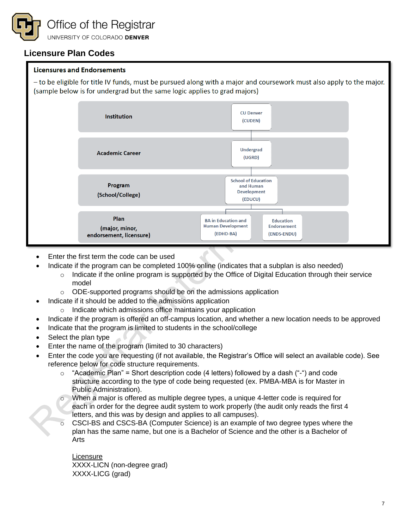

### <span id="page-7-0"></span>**Licensure Plan Codes**

#### **Licensures and Endorsements**

- to be eligible for title IV funds, must be pursued along with a major and coursework must also apply to the major. (sample below is for undergrad but the same logic applies to grad majors)



- Enter the first term the code can be used
- Indicate if the program can be completed 100% online (indicates that a subplan is also needed)
	- $\circ$  Indicate if the online program is supported by the Office of Digital Education through their service model
		- o ODE-supported programs should be on the admissions application
- Indicate if it should be added to the admissions application
	- o Indicate which admissions office maintains your application
- Indicate if the program is offered an off-campus location, and whether a new location needs to be approved
- Indicate that the program is limited to students in the school/college
- Select the plan type
- Enter the name of the program (limited to 30 characters)
- Enter the code you are requesting (if not available, the Registrar's Office will select an available code). See reference below for code structure requirements.
	- $\circ$  "Academic Plan" = Short description code (4 letters) followed by a dash ("-") and code structure according to the type of code being requested (ex. PMBA-MBA is for Master in Public Administration).
	- o When a major is offered as multiple degree types, a unique 4-letter code is required for each in order for the degree audit system to work properly (the audit only reads the first 4 letters, and this was by design and applies to all campuses).
	- CSCI-BS and CSCS-BA (Computer Science) is an example of two degree types where the plan has the same name, but one is a Bachelor of Science and the other is a Bachelor of Arts

**Licensure** XXXX-LICN (non-degree grad) XXXX-LICG (grad)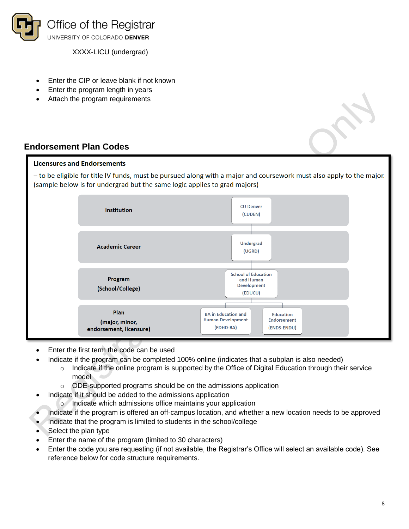

XXXX-LICU (undergrad)

- Enter the CIP or leave blank if not known
- Enter the program length in years
- Attach the program requirements

#### <span id="page-8-0"></span>**Endorsement Plan Codes**

#### **Licensures and Endorsements**

- to be eligible for title IV funds, must be pursued along with a major and coursework must also apply to the major. (sample below is for undergrad but the same logic applies to grad majors)



- Enter the first term the code can be used
- Indicate if the program can be completed 100% online (indicates that a subplan is also needed)
	- $\circ$  Indicate if the online program is supported by the Office of Digital Education through their service model
	- o ODE-supported programs should be on the admissions application
- Indicate if it should be added to the admissions application
	- o Indicate which admissions office maintains your application
- Indicate if the program is offered an off-campus location, and whether a new location needs to be approved
- Indicate that the program is limited to students in the school/college
- Select the plan type
- Enter the name of the program (limited to 30 characters)
- Enter the code you are requesting (if not available, the Registrar's Office will select an available code). See reference below for code structure requirements.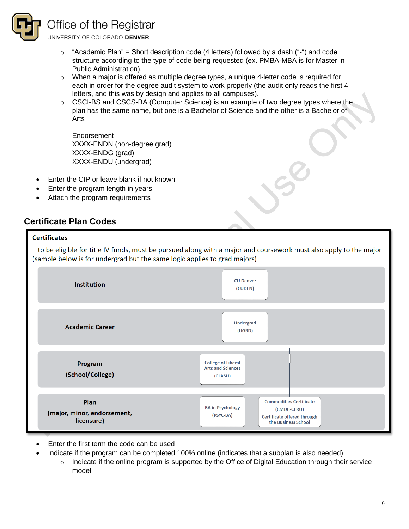

UNIVERSITY OF COLORADO DENVER

- $\circ$  "Academic Plan" = Short description code (4 letters) followed by a dash ("-") and code structure according to the type of code being requested (ex. PMBA-MBA is for Master in Public Administration).
- $\circ$  When a major is offered as multiple degree types, a unique 4-letter code is required for each in order for the degree audit system to work properly (the audit only reads the first 4 letters, and this was by design and applies to all campuses).
- $\circ$  CSCI-BS and CSCS-BA (Computer Science) is an example of two degree types where the plan has the same name, but one is a Bachelor of Science and the other is a Bachelor of Arts

Endorsement XXXX-ENDN (non-degree grad) XXXX-ENDG (grad) XXXX-ENDU (undergrad)

- Enter the CIP or leave blank if not known
- Enter the program length in years
- Attach the program requirements

### <span id="page-9-0"></span>**Certificate Plan Codes**



- Enter the first term the code can be used
- Indicate if the program can be completed 100% online (indicates that a subplan is also needed)
	- $\circ$  Indicate if the online program is supported by the Office of Digital Education through their service model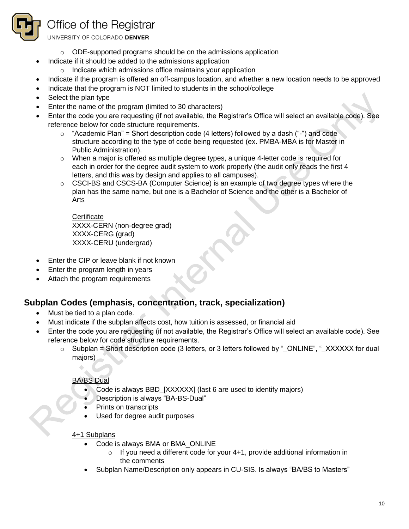

UNIVERSITY OF COLORADO DENVER

- o ODE-supported programs should be on the admissions application
- Indicate if it should be added to the admissions application
	- o Indicate which admissions office maintains your application
- Indicate if the program is offered an off-campus location, and whether a new location needs to be approved
- Indicate that the program is NOT limited to students in the school/college
- Select the plan type
- Enter the name of the program (limited to 30 characters)
- Enter the code you are requesting (if not available, the Registrar's Office will select an available code). See reference below for code structure requirements.
	- $\circ$  "Academic Plan" = Short description code (4 letters) followed by a dash ("-") and code structure according to the type of code being requested (ex. PMBA-MBA is for Master in Public Administration).
	- $\circ$  When a major is offered as multiple degree types, a unique 4-letter code is required for each in order for the degree audit system to work properly (the audit only reads the first 4 letters, and this was by design and applies to all campuses).
	- o CSCI-BS and CSCS-BA (Computer Science) is an example of two degree types where the plan has the same name, but one is a Bachelor of Science and the other is a Bachelor of Arts

**Certificate** XXXX-CERN (non-degree grad) XXXX-CERG (grad) XXXX-CERU (undergrad)

- Enter the CIP or leave blank if not known
- Enter the program length in years
- Attach the program requirements

### <span id="page-10-0"></span>**Subplan Codes (emphasis, concentration, track, specialization)**

- Must be tied to a plan code.
- Must indicate if the subplan affects cost, how tuition is assessed, or financial aid
- Enter the code you are requesting (if not available, the Registrar's Office will select an available code). See reference below for code structure requirements.
	- $\circ$  Subplan = Short description code (3 letters, or 3 letters followed by "\_ONLINE", "\_XXXXXX for dual majors)

#### BA/BS Dual

- Code is always BBD\_[XXXXXX] (last 6 are used to identify majors)
- Description is always "BA-BS-Dual"
- Prints on transcripts
- Used for degree audit purposes

#### 4+1 Subplans

- Code is always BMA or BMA\_ONLINE
	- o If you need a different code for your 4+1, provide additional information in the comments
- Subplan Name/Description only appears in CU-SIS. Is always "BA/BS to Masters"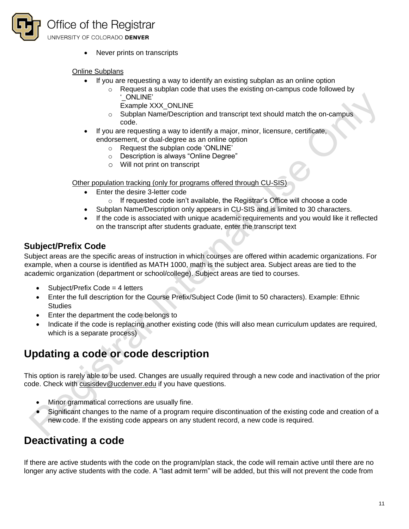

Never prints on transcripts

#### Online Subplans

- If you are requesting a way to identify an existing subplan as an online option
	- Request a subplan code that uses the existing on-campus code followed by '\_ONLINE'
		- Example XXX\_ONLINE
	- o Subplan Name/Description and transcript text should match the on-campus code.
- If you are requesting a way to identify a major, minor, licensure, certificate, endorsement, or dual-degree as an online option
	- o Request the subplan code 'ONLINE'
	- o Description is always "Online Degree"
	- o Will not print on transcript

Other population tracking (only for programs offered through CU-SIS)

- Enter the desire 3-letter code
	- $\circ$  If requested code isn't available, the Registrar's Office will choose a code
- Subplan Name/Description only appears in CU-SIS and is limited to 30 characters.
- If the code is associated with unique academic requirements and you would like it reflected on the transcript after students graduate, enter the transcript text

#### <span id="page-11-0"></span>**Subject/Prefix Code**

Subject areas are the specific areas of instruction in which courses are offered within academic organizations. For example, when a course is identified as MATH 1000, math is the subject area. Subject areas are tied to the academic organization (department or school/college). Subject areas are tied to courses.

- Subject/Prefix Code  $=$  4 letters
- Enter the full description for the Course Prefix/Subject Code (limit to 50 characters). Example: Ethnic **Studies**
- Enter the department the code belongs to
- Indicate if the code is replacing another existing code (this will also mean curriculum updates are required, which is a separate process)

### <span id="page-11-1"></span>**Updating a code or code description**

This option is rarely able to be used. Changes are usually required through a new code and inactivation of the prior code. Check with [cusisdev@ucdenver.edu](mailto:cusisdev@ucdenver.edu) if you have questions.

- Minor grammatical corrections are usually fine.
- Significant changes to the name of a program require discontinuation of the existing code and creation of a new code. If the existing code appears on any student record, a new code is required.

### <span id="page-11-2"></span>**Deactivating a code**

If there are active students with the code on the program/plan stack, the code will remain active until there are no longer any active students with the code. A "last admit term" will be added, but this will not prevent the code from